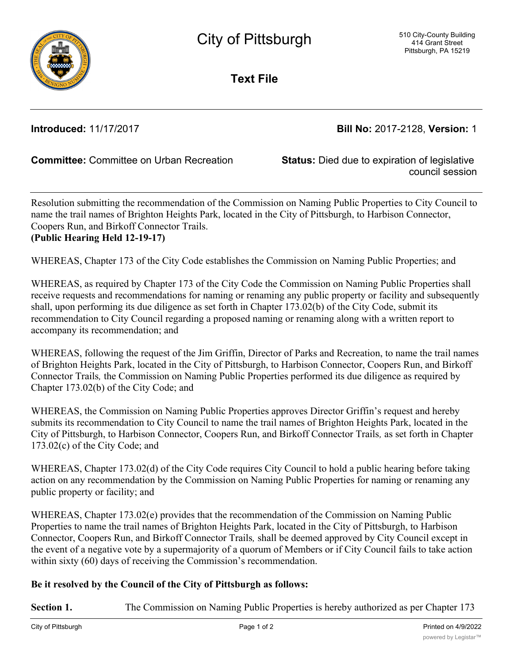

**Text File**

**Introduced:** 11/17/2017 **Bill No:** 2017-2128, **Version:** 1

**Committee:** Committee on Urban Recreation **Status:** Died due to expiration of legislative

council session

Resolution submitting the recommendation of the Commission on Naming Public Properties to City Council to name the trail names of Brighton Heights Park, located in the City of Pittsburgh, to Harbison Connector, Coopers Run, and Birkoff Connector Trails. **(Public Hearing Held 12-19-17)**

WHEREAS, Chapter 173 of the City Code establishes the Commission on Naming Public Properties; and

WHEREAS, as required by Chapter 173 of the City Code the Commission on Naming Public Properties shall receive requests and recommendations for naming or renaming any public property or facility and subsequently shall, upon performing its due diligence as set forth in Chapter 173.02(b) of the City Code, submit its recommendation to City Council regarding a proposed naming or renaming along with a written report to accompany its recommendation; and

WHEREAS, following the request of the Jim Griffin, Director of Parks and Recreation, to name the trail names of Brighton Heights Park, located in the City of Pittsburgh, to Harbison Connector, Coopers Run, and Birkoff Connector Trails*,* the Commission on Naming Public Properties performed its due diligence as required by Chapter 173.02(b) of the City Code; and

WHEREAS, the Commission on Naming Public Properties approves Director Griffin's request and hereby submits its recommendation to City Council to name the trail names of Brighton Heights Park, located in the City of Pittsburgh, to Harbison Connector, Coopers Run, and Birkoff Connector Trails*,* as set forth in Chapter 173.02(c) of the City Code; and

WHEREAS, Chapter 173.02(d) of the City Code requires City Council to hold a public hearing before taking action on any recommendation by the Commission on Naming Public Properties for naming or renaming any public property or facility; and

WHEREAS, Chapter 173.02(e) provides that the recommendation of the Commission on Naming Public Properties to name the trail names of Brighton Heights Park, located in the City of Pittsburgh, to Harbison Connector, Coopers Run, and Birkoff Connector Trails*,* shall be deemed approved by City Council except in the event of a negative vote by a supermajority of a quorum of Members or if City Council fails to take action within sixty (60) days of receiving the Commission's recommendation.

## **Be it resolved by the Council of the City of Pittsburgh as follows:**

**Section 1.** The Commission on Naming Public Properties is hereby authorized as per Chapter 173